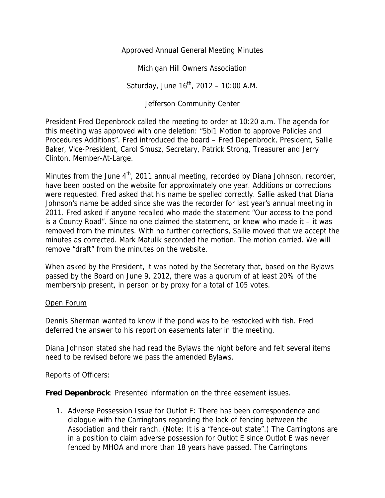Approved Annual General Meeting Minutes

Michigan Hill Owners Association

Saturday, June  $16^{th}$ , 2012 - 10:00 A.M.

Jefferson Community Center

President Fred Depenbrock called the meeting to order at 10:20 a.m. The agenda for this meeting was approved with one deletion: "5bi1 Motion to approve Policies and Procedures Additions". Fred introduced the board – Fred Depenbrock, President, Sallie Baker, Vice-President, Carol Smusz, Secretary, Patrick Strong, Treasurer and Jerry Clinton, Member-At-Large.

Minutes from the June  $4<sup>th</sup>$ , 2011 annual meeting, recorded by Diana Johnson, recorder, have been posted on the website for approximately one year. Additions or corrections were requested. Fred asked that his name be spelled correctly. Sallie asked that Diana Johnson's name be added since she was the recorder for last year's annual meeting in 2011. Fred asked if anyone recalled who made the statement "Our access to the pond is a County Road". Since no one claimed the statement, or knew who made it – it was removed from the minutes. With no further corrections, Sallie moved that we accept the minutes as corrected. Mark Matulik seconded the motion. The motion carried. We will remove "draft" from the minutes on the website.

When asked by the President, it was noted by the Secretary that, based on the Bylaws passed by the Board on June 9, 2012, there was a quorum of at least 20% of the membership present, in person or by proxy for a total of 105 votes.

## Open Forum

Dennis Sherman wanted to know if the pond was to be restocked with fish. Fred deferred the answer to his report on easements later in the meeting.

Diana Johnson stated she had read the Bylaws the night before and felt several items need to be revised before we pass the amended Bylaws.

Reports of Officers:

**Fred Depenbrock**: Presented information on the three easement issues.

1. Adverse Possession Issue for Outlot E: There has been correspondence and dialogue with the Carringtons regarding the lack of fencing between the Association and their ranch. (Note: It is a "fence-out state".) The Carringtons are in a position to claim adverse possession for Outlot E since Outlot E was never fenced by MHOA and more than 18 years have passed. The Carringtons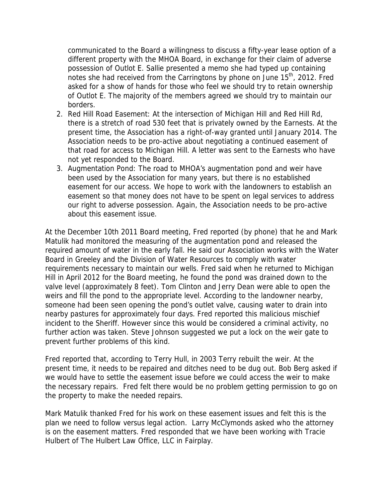communicated to the Board a willingness to discuss a fifty-year lease option of a different property with the MHOA Board, in exchange for their claim of adverse possession of Outlot E. Sallie presented a memo she had typed up containing notes she had received from the Carringtons by phone on June  $15<sup>th</sup>$ , 2012. Fred asked for a show of hands for those who feel we should try to retain ownership of Outlot E. The majority of the members agreed we should try to maintain our borders.

- 2. Red Hill Road Easement: At the intersection of Michigan Hill and Red Hill Rd, there is a stretch of road 530 feet that is privately owned by the Earnests. At the present time, the Association has a right-of-way granted until January 2014. The Association needs to be pro-active about negotiating a continued easement of that road for access to Michigan Hill. A letter was sent to the Earnests who have not yet responded to the Board.
- 3. Augmentation Pond: The road to MHOA's augmentation pond and weir have been used by the Association for many years, but there is no established easement for our access. We hope to work with the landowners to establish an easement so that money does not have to be spent on legal services to address our right to adverse possession. Again, the Association needs to be pro-active about this easement issue.

At the December 10th 2011 Board meeting, Fred reported (by phone) that he and Mark Matulik had monitored the measuring of the augmentation pond and released the required amount of water in the early fall. He said our Association works with the Water Board in Greeley and the Division of Water Resources to comply with water requirements necessary to maintain our wells. Fred said when he returned to Michigan Hill in April 2012 for the Board meeting, he found the pond was drained down to the valve level (approximately 8 feet). Tom Clinton and Jerry Dean were able to open the weirs and fill the pond to the appropriate level. According to the landowner nearby, someone had been seen opening the pond's outlet valve, causing water to drain into nearby pastures for approximately four days. Fred reported this malicious mischief incident to the Sheriff. However since this would be considered a criminal activity, no further action was taken. Steve Johnson suggested we put a lock on the weir gate to prevent further problems of this kind.

Fred reported that, according to Terry Hull, in 2003 Terry rebuilt the weir. At the present time, it needs to be repaired and ditches need to be dug out. Bob Berg asked if we would have to settle the easement issue before we could access the weir to make the necessary repairs. Fred felt there would be no problem getting permission to go on the property to make the needed repairs.

Mark Matulik thanked Fred for his work on these easement issues and felt this is the plan we need to follow versus legal action. Larry McClymonds asked who the attorney is on the easement matters. Fred responded that we have been working with Tracie Hulbert of The Hulbert Law Office, LLC in Fairplay.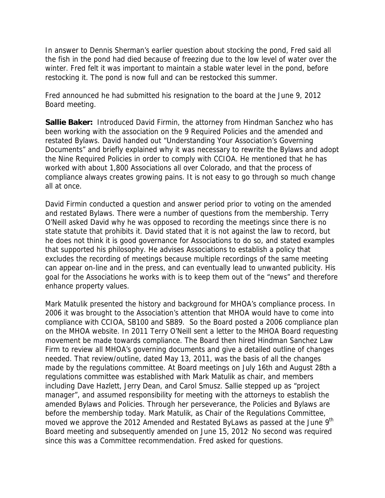In answer to Dennis Sherman's earlier question about stocking the pond, Fred said all the fish in the pond had died because of freezing due to the low level of water over the winter. Fred felt it was important to maintain a stable water level in the pond, before restocking it. The pond is now full and can be restocked this summer.

Fred announced he had submitted his resignation to the board at the June 9, 2012 Board meeting.

**Sallie Baker:** Introduced David Firmin, the attorney from Hindman Sanchez who has been working with the association on the 9 Required Policies and the amended and restated Bylaws. David handed out "Understanding Your Association's Governing Documents" and briefly explained why it was necessary to rewrite the Bylaws and adopt the Nine Required Policies in order to comply with CCIOA. He mentioned that he has worked with about 1,800 Associations all over Colorado, and that the process of compliance always creates growing pains. It is not easy to go through so much change all at once.

David Firmin conducted a question and answer period prior to voting on the amended and restated Bylaws. There were a number of questions from the membership. Terry O'Neill asked David why he was opposed to recording the meetings since there is no state statute that prohibits it. David stated that it is not against the law to record, but he does not think it is good governance for Associations to do so, and stated examples that supported his philosophy. He advises Associations to establish a policy that excludes the recording of meetings because multiple recordings of the same meeting can appear on-line and in the press, and can eventually lead to unwanted publicity. His goal for the Associations he works with is to keep them out of the "news" and therefore enhance property values.

Mark Matulik presented the history and background for MHOA's compliance process. In 2006 it was brought to the Association's attention that MHOA would have to come into compliance with CCIOA, SB100 and SB89. So the Board posted a 2006 compliance plan on the MHOA website. In 2011 Terry O'Neill sent a letter to the MHOA Board requesting movement be made towards compliance. The Board then hired Hindman Sanchez Law Firm to review all MHOA's governing documents and give a detailed outline of changes needed. That review/outline, dated May 13, 2011, was the basis of all the changes made by the regulations committee. At Board meetings on July 16th and August 28th a regulations committee was established with Mark Matulik as chair, and members including Dave Hazlett, Jerry Dean, and Carol Smusz. Sallie stepped up as "project manager", and assumed responsibility for meeting with the attorneys to establish the amended Bylaws and Policies. Through her perseverance, the Policies and Bylaws are before the membership today. Mark Matulik, as Chair of the Regulations Committee, moved we approve the 2012 Amended and Restated ByLaws as passed at the June 9<sup>th</sup> Board meeting and subsequently amended on June 15, 2012. No second was required since this was a Committee recommendation. Fred asked for questions.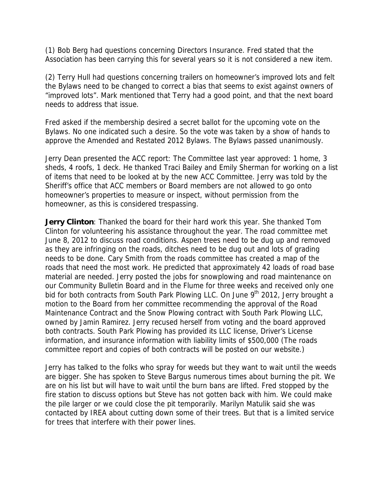(1) Bob Berg had questions concerning Directors Insurance. Fred stated that the Association has been carrying this for several years so it is not considered a new item.

(2) Terry Hull had questions concerning trailers on homeowner's improved lots and felt the Bylaws need to be changed to correct a bias that seems to exist against owners of "improved lots". Mark mentioned that Terry had a good point, and that the next board needs to address that issue.

Fred asked if the membership desired a secret ballot for the upcoming vote on the Bylaws. No one indicated such a desire. So the vote was taken by a show of hands to approve the Amended and Restated 2012 Bylaws. The Bylaws passed unanimously.

Jerry Dean presented the ACC report: The Committee last year approved: 1 home, 3 sheds, 4 roofs, 1 deck. He thanked Traci Bailey and Emily Sherman for working on a list of items that need to be looked at by the new ACC Committee. Jerry was told by the Sheriff's office that ACC members or Board members are not allowed to go onto homeowner's properties to measure or inspect, without permission from the homeowner, as this is considered trespassing.

**Jerry Clinton**: Thanked the board for their hard work this year. She thanked Tom Clinton for volunteering his assistance throughout the year. The road committee met June 8, 2012 to discuss road conditions. Aspen trees need to be dug up and removed as they are infringing on the roads, ditches need to be dug out and lots of grading needs to be done. Cary Smith from the roads committee has created a map of the roads that need the most work. He predicted that approximately 42 loads of road base material are needed. Jerry posted the jobs for snowplowing and road maintenance on our Community Bulletin Board and in the Flume for three weeks and received only one bid for both contracts from South Park Plowing LLC. On June 9<sup>th</sup> 2012, Jerry brought a motion to the Board from her committee recommending the approval of the Road Maintenance Contract and the Snow Plowing contract with South Park Plowing LLC, owned by Jamin Ramirez. Jerry recused herself from voting and the board approved both contracts. South Park Plowing has provided its LLC license, Driver's License information, and insurance information with liability limits of \$500,000 (The roads committee report and copies of both contracts will be posted on our website.)

Jerry has talked to the folks who spray for weeds but they want to wait until the weeds are bigger. She has spoken to Steve Bargus numerous times about burning the pit. We are on his list but will have to wait until the burn bans are lifted. Fred stopped by the fire station to discuss options but Steve has not gotten back with him. We could make the pile larger or we could close the pit temporarily. Marilyn Matulik said she was contacted by IREA about cutting down some of their trees. But that is a limited service for trees that interfere with their power lines.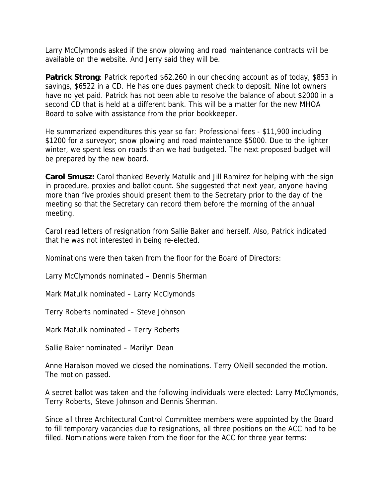Larry McClymonds asked if the snow plowing and road maintenance contracts will be available on the website. And Jerry said they will be.

**Patrick Strong**: Patrick reported \$62,260 in our checking account as of today, \$853 in savings, \$6522 in a CD. He has one dues payment check to deposit. Nine lot owners have no yet paid. Patrick has not been able to resolve the balance of about \$2000 in a second CD that is held at a different bank. This will be a matter for the new MHOA Board to solve with assistance from the prior bookkeeper.

He summarized expenditures this year so far: Professional fees - \$11,900 including \$1200 for a surveyor; snow plowing and road maintenance \$5000. Due to the lighter winter, we spent less on roads than we had budgeted. The next proposed budget will be prepared by the new board.

**Carol Smusz:** Carol thanked Beverly Matulik and Jill Ramirez for helping with the sign in procedure, proxies and ballot count. She suggested that next year, anyone having more than five proxies should present them to the Secretary prior to the day of the meeting so that the Secretary can record them before the morning of the annual meeting.

Carol read letters of resignation from Sallie Baker and herself. Also, Patrick indicated that he was not interested in being re-elected.

Nominations were then taken from the floor for the Board of Directors:

Larry McClymonds nominated – Dennis Sherman

Mark Matulik nominated – Larry McClymonds

Terry Roberts nominated – Steve Johnson

Mark Matulik nominated – Terry Roberts

Sallie Baker nominated – Marilyn Dean

Anne Haralson moved we closed the nominations. Terry ONeill seconded the motion. The motion passed.

A secret ballot was taken and the following individuals were elected: Larry McClymonds, Terry Roberts, Steve Johnson and Dennis Sherman.

Since all three Architectural Control Committee members were appointed by the Board to fill temporary vacancies due to resignations, all three positions on the ACC had to be filled. Nominations were taken from the floor for the ACC for three year terms: